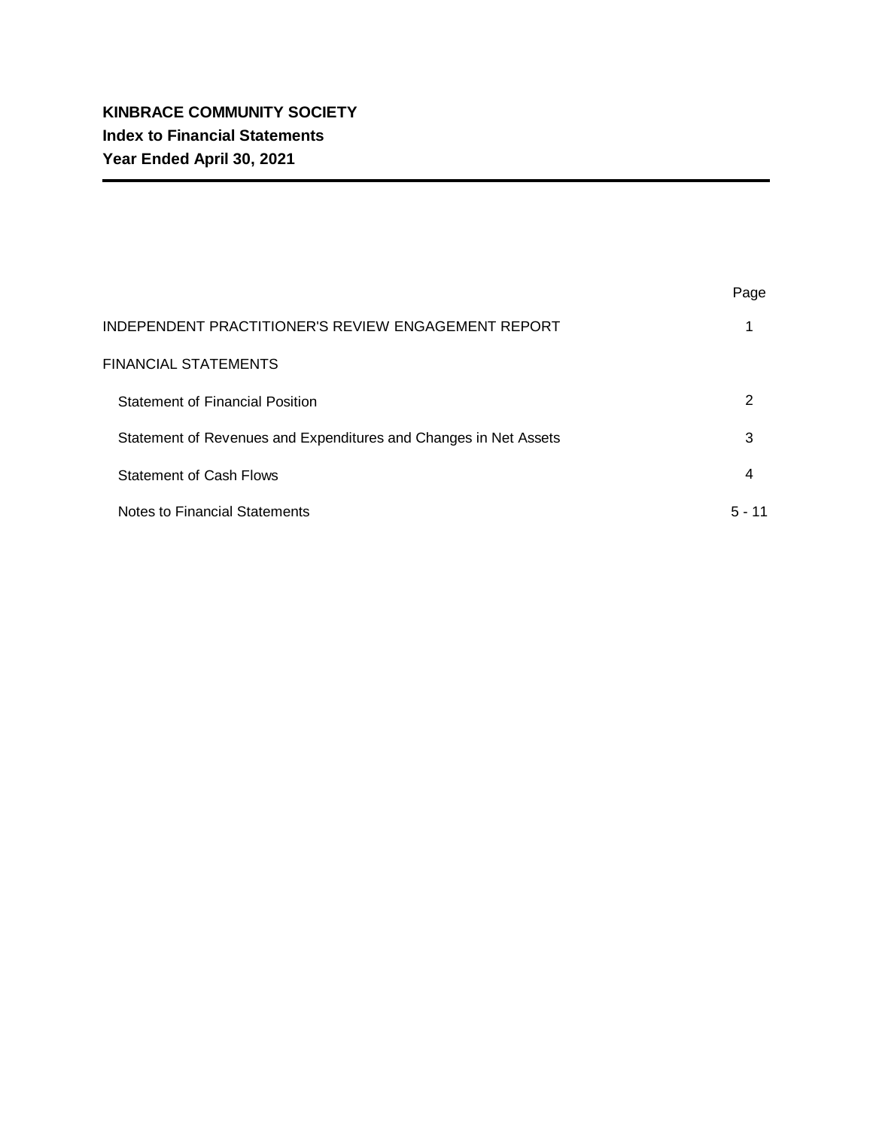|                                                                  | Page     |
|------------------------------------------------------------------|----------|
| INDEPENDENT PRACTITIONER'S REVIEW ENGAGEMENT REPORT              |          |
| <b>FINANCIAL STATEMENTS</b>                                      |          |
| <b>Statement of Financial Position</b>                           | 2        |
| Statement of Revenues and Expenditures and Changes in Net Assets | 3        |
| <b>Statement of Cash Flows</b>                                   | 4        |
| Notes to Financial Statements                                    | $5 - 11$ |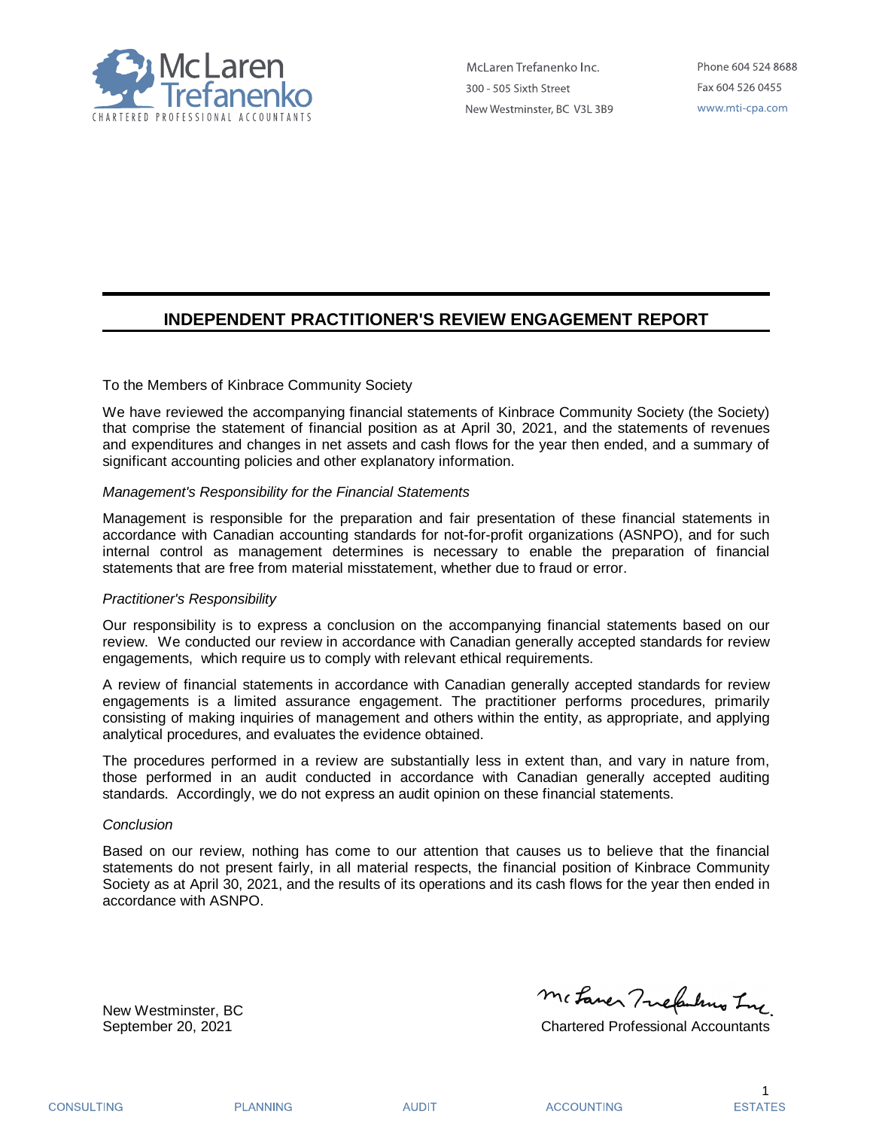

McLaren Trefanenko Inc. 300 - 505 Sixth Street New Westminster, BC V3L 3B9

Phone 604 524 8688 Fax 604 526 0455 www.mti-cpa.com

## **INDEPENDENT PRACTITIONER'S REVIEW ENGAGEMENT REPORT**

### To the Members of Kinbrace Community Society

We have reviewed the accompanying financial statements of Kinbrace Community Society (the Society) that comprise the statement of financial position as at April 30, 2021, and the statements of revenues and expenditures and changes in net assets and cash flows for the year then ended, and a summary of significant accounting policies and other explanatory information.

### *Management's Responsibility for the Financial Statements*

Management is responsible for the preparation and fair presentation of these financial statements in accordance with Canadian accounting standards for not-for-profit organizations (ASNPO), and for such internal control as management determines is necessary to enable the preparation of financial statements that are free from material misstatement, whether due to fraud or error.

### *Practitioner's Responsibility*

Our responsibility is to express a conclusion on the accompanying financial statements based on our review. We conducted our review in accordance with Canadian generally accepted standards for review engagements, which require us to comply with relevant ethical requirements.

A review of financial statements in accordance with Canadian generally accepted standards for review engagements is a limited assurance engagement. The practitioner performs procedures, primarily consisting of making inquiries of management and others within the entity, as appropriate, and applying analytical procedures, and evaluates the evidence obtained.

The procedures performed in a review are substantially less in extent than, and vary in nature from, those performed in an audit conducted in accordance with Canadian generally accepted auditing standards. Accordingly, we do not express an audit opinion on these financial statements.

### *Conclusion*

Based on our review, nothing has come to our attention that causes us to believe that the financial statements do not present fairly, in all material respects, the financial position of Kinbrace Community Society as at April 30, 2021, and the results of its operations and its cash flows for the year then ended in accordance with ASNPO.

New Westminster, BC

Mc Laner Tuckulung Ing

September 20, 2021 Chartered Professional Accountants

**PLANNING** 

**AUDIT** 

**ACCOUNTING**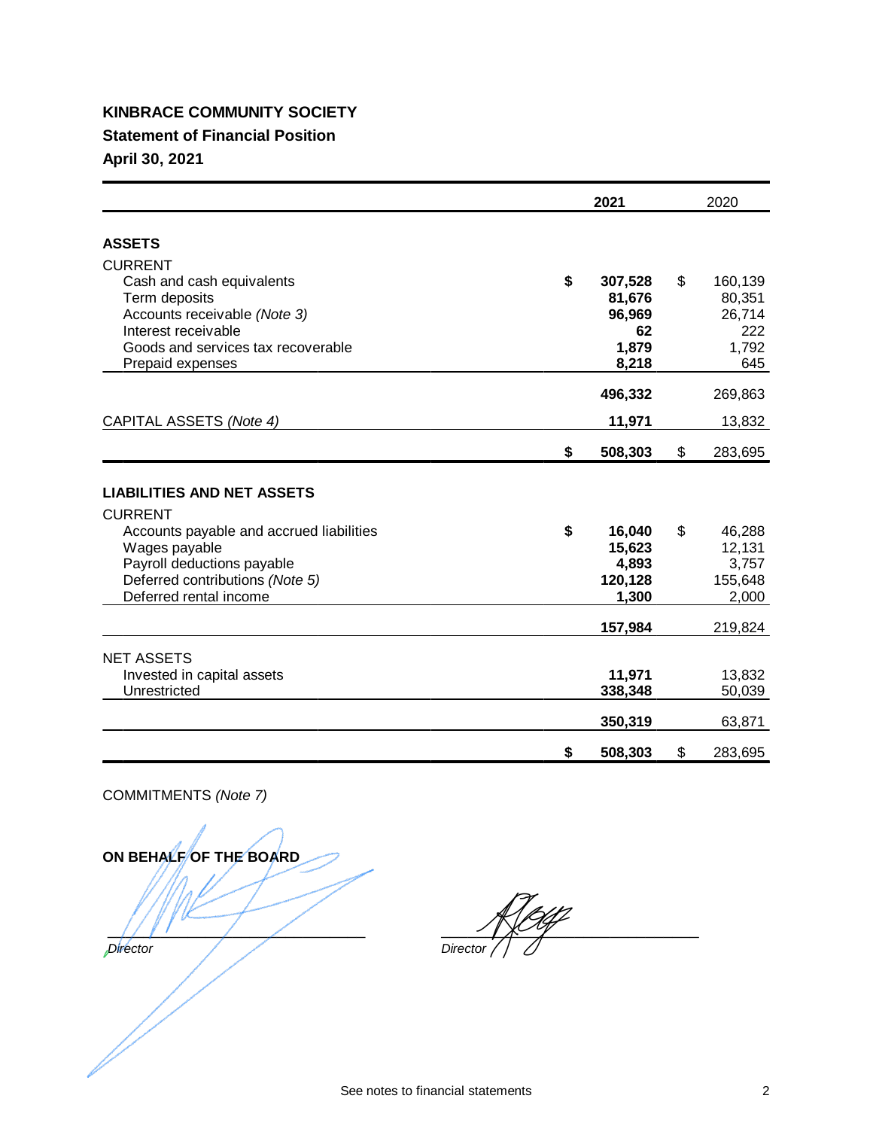# **KINBRACE COMMUNITY SOCIETY Statement of Financial Position**

**April 30, 2021**

|                                                     | 2021          | 2020          |
|-----------------------------------------------------|---------------|---------------|
|                                                     |               |               |
| <b>ASSETS</b>                                       |               |               |
| <b>CURRENT</b>                                      |               |               |
| Cash and cash equivalents                           | \$<br>307,528 | \$<br>160,139 |
| Term deposits                                       | 81,676        | 80,351        |
| Accounts receivable (Note 3)<br>Interest receivable | 96,969<br>62  | 26,714<br>222 |
| Goods and services tax recoverable                  | 1,879         | 1,792         |
| Prepaid expenses                                    | 8,218         | 645           |
|                                                     |               |               |
|                                                     | 496,332       | 269,863       |
| CAPITAL ASSETS (Note 4)                             | 11,971        | 13,832        |
|                                                     | \$<br>508,303 | \$<br>283,695 |
|                                                     |               |               |
| <b>LIABILITIES AND NET ASSETS</b>                   |               |               |
| <b>CURRENT</b>                                      |               |               |
| Accounts payable and accrued liabilities            | \$<br>16,040  | \$<br>46,288  |
| Wages payable                                       | 15,623        | 12,131        |
| Payroll deductions payable                          | 4,893         | 3,757         |
| Deferred contributions (Note 5)                     | 120,128       | 155,648       |
| Deferred rental income                              | 1,300         | 2,000         |
|                                                     | 157,984       | 219,824       |
| <b>NET ASSETS</b>                                   |               |               |
| Invested in capital assets                          | 11,971        | 13,832        |
| Unrestricted                                        | 338,348       | 50,039        |
|                                                     |               |               |
|                                                     | 350,319       | 63,871        |
|                                                     | \$<br>508,303 | \$<br>283,695 |

COMMITMENTS *(Note 7)*

**ON BEHALFOF THE BOARD**  $\frac{1}{2}$ *Director* 

 $\frac{1}{2}$ *Director*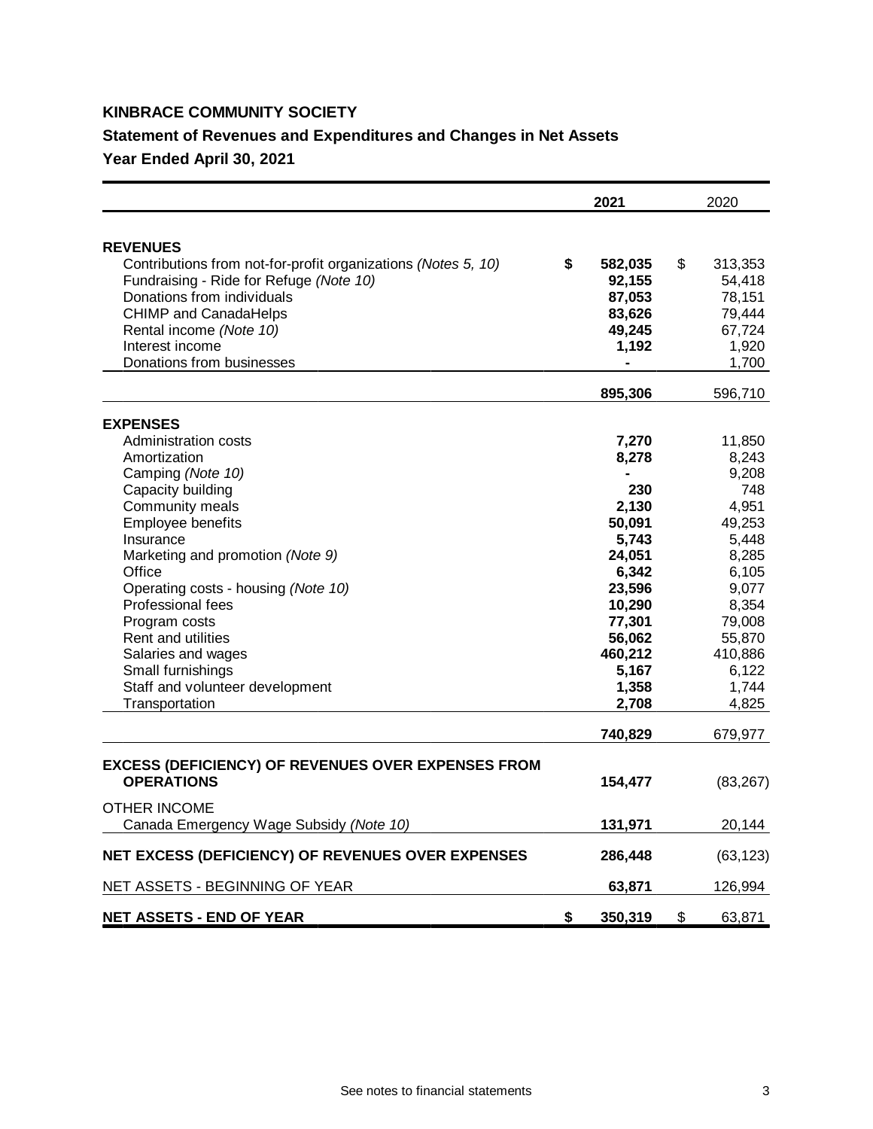# **KINBRACE COMMUNITY SOCIETY**

## **Statement of Revenues and Expenditures and Changes in Net Assets**

**Year Ended April 30, 2021**

|                                                               | 2021          | 2020          |
|---------------------------------------------------------------|---------------|---------------|
| <b>REVENUES</b>                                               |               |               |
| Contributions from not-for-profit organizations (Notes 5, 10) | \$<br>582,035 | \$<br>313,353 |
| Fundraising - Ride for Refuge (Note 10)                       | 92,155        | 54,418        |
| Donations from individuals                                    | 87,053        | 78,151        |
| <b>CHIMP and CanadaHelps</b>                                  | 83,626        | 79,444        |
| Rental income (Note 10)                                       | 49,245        | 67,724        |
| Interest income                                               | 1,192         | 1,920         |
| Donations from businesses                                     |               | 1,700         |
|                                                               | 895,306       | 596,710       |
| <b>EXPENSES</b>                                               |               |               |
| Administration costs                                          | 7,270         | 11,850        |
| Amortization                                                  | 8,278         | 8,243         |
| Camping (Note 10)                                             |               | 9,208         |
| Capacity building                                             | 230           | 748           |
| Community meals                                               | 2,130         | 4,951         |
| Employee benefits                                             | 50,091        | 49,253        |
| Insurance                                                     | 5,743         | 5,448         |
| Marketing and promotion (Note 9)                              | 24,051        | 8,285         |
| Office                                                        | 6,342         | 6,105         |
| Operating costs - housing (Note 10)                           | 23,596        | 9,077         |
| Professional fees                                             | 10,290        | 8,354         |
| Program costs                                                 | 77,301        | 79,008        |
| <b>Rent and utilities</b>                                     | 56,062        | 55,870        |
| Salaries and wages                                            | 460,212       | 410,886       |
| Small furnishings                                             | 5,167         | 6,122         |
| Staff and volunteer development                               | 1,358         | 1,744         |
| Transportation                                                | 2,708         | 4,825         |
|                                                               | 740,829       | 679,977       |
| <b>EXCESS (DEFICIENCY) OF REVENUES OVER EXPENSES FROM</b>     |               |               |
| <b>OPERATIONS</b>                                             | 154,477       | (83, 267)     |
| OTHER INCOME                                                  |               |               |
| Canada Emergency Wage Subsidy (Note 10)                       | 131,971       | 20,144        |
| NET EXCESS (DEFICIENCY) OF REVENUES OVER EXPENSES             | 286,448       | (63, 123)     |
| NET ASSETS - BEGINNING OF YEAR                                | 63,871        | 126,994       |
| <b>NET ASSETS - END OF YEAR</b>                               | \$<br>350,319 | \$<br>63,871  |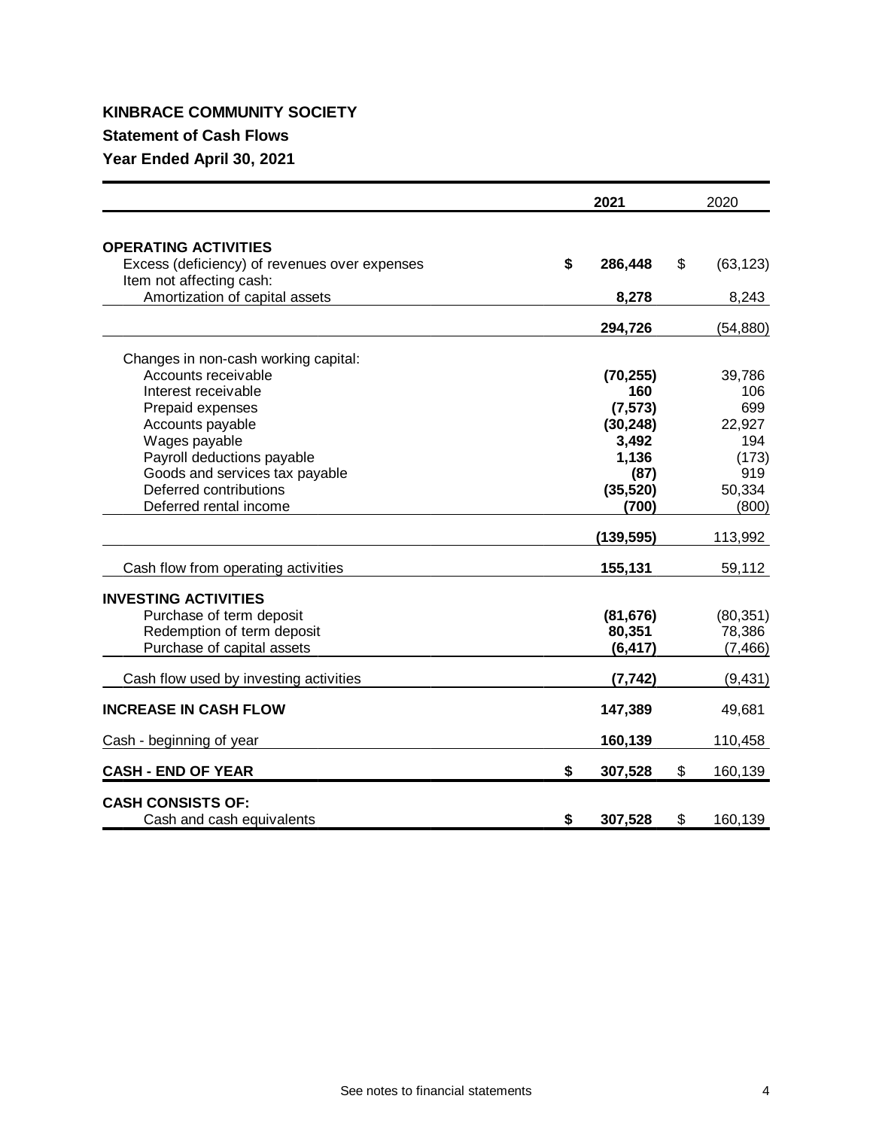## **KINBRACE COMMUNITY SOCIETY**

## **Statement of Cash Flows**

**Year Ended April 30, 2021**

|                                                                           | 2021          | 2020            |
|---------------------------------------------------------------------------|---------------|-----------------|
| <b>OPERATING ACTIVITIES</b>                                               |               |                 |
| Excess (deficiency) of revenues over expenses<br>Item not affecting cash: | \$<br>286,448 | \$<br>(63, 123) |
| Amortization of capital assets                                            | 8,278         | 8,243           |
|                                                                           | 294,726       | (54, 880)       |
| Changes in non-cash working capital:                                      |               |                 |
| Accounts receivable                                                       | (70, 255)     | 39,786          |
| Interest receivable                                                       | 160           | 106             |
| Prepaid expenses                                                          | (7, 573)      | 699             |
| Accounts payable                                                          | (30, 248)     | 22,927          |
| Wages payable                                                             | 3,492         | 194             |
| Payroll deductions payable                                                | 1,136         | (173)           |
| Goods and services tax payable                                            | (87)          | 919             |
| Deferred contributions                                                    | (35, 520)     | 50,334          |
| Deferred rental income                                                    | (700)         | (800)           |
|                                                                           | (139, 595)    | 113,992         |
| Cash flow from operating activities                                       | 155,131       | 59,112          |
| <b>INVESTING ACTIVITIES</b>                                               |               |                 |
| Purchase of term deposit                                                  | (81, 676)     | (80, 351)       |
| Redemption of term deposit                                                | 80,351        | 78,386          |
| Purchase of capital assets                                                | (6, 417)      | (7, 466)        |
| Cash flow used by investing activities                                    | (7, 742)      | (9, 431)        |
| <b>INCREASE IN CASH FLOW</b>                                              | 147,389       | 49,681          |
| Cash - beginning of year                                                  | 160,139       | 110,458         |
| <b>CASH - END OF YEAR</b>                                                 | \$<br>307,528 | \$<br>160,139   |
| <b>CASH CONSISTS OF:</b>                                                  |               |                 |
| Cash and cash equivalents                                                 | \$<br>307,528 | \$<br>160,139   |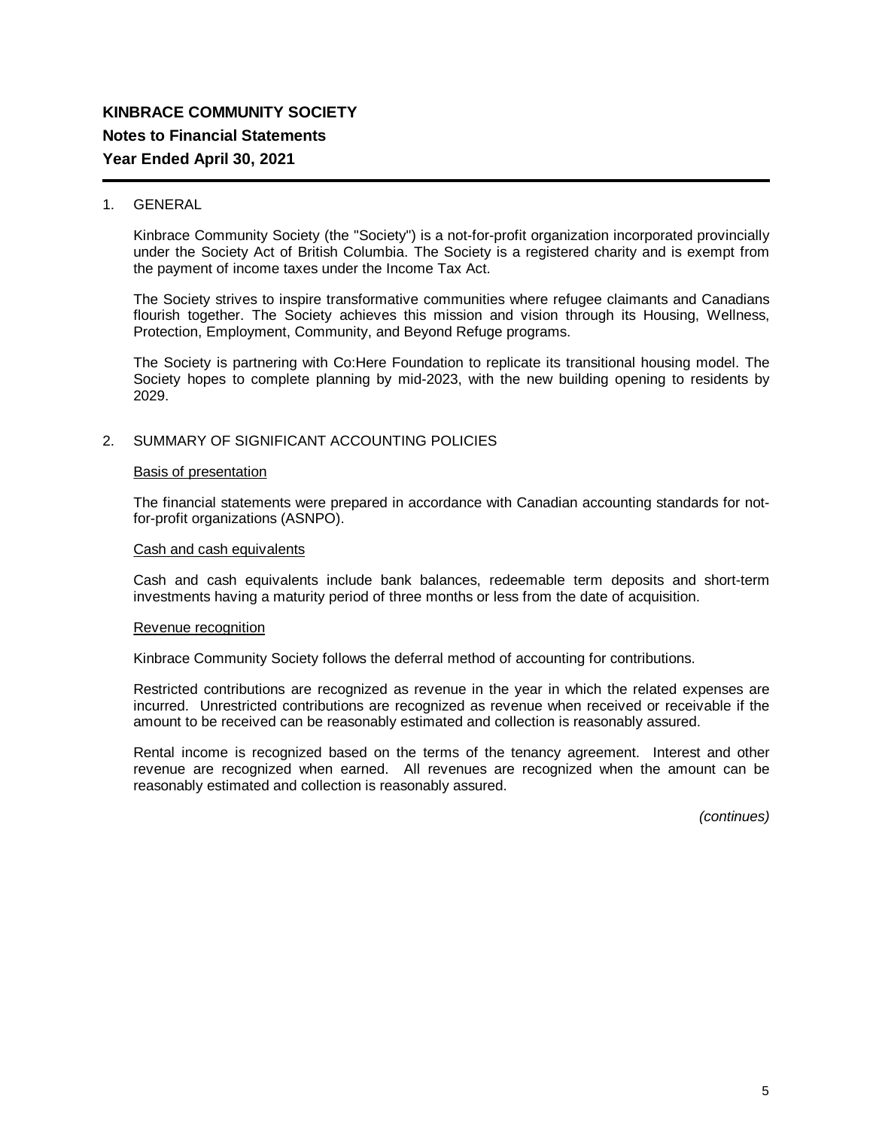### 1. GENERAL

Kinbrace Community Society (the "Society") is a not-for-profit organization incorporated provincially under the Society Act of British Columbia. The Society is a registered charity and is exempt from the payment of income taxes under the Income Tax Act.

The Society strives to inspire transformative communities where refugee claimants and Canadians flourish together. The Society achieves this mission and vision through its Housing, Wellness, Protection, Employment, Community, and Beyond Refuge programs.

The Society is partnering with Co:Here Foundation to replicate its transitional housing model. The Society hopes to complete planning by mid-2023, with the new building opening to residents by 2029.

### 2. SUMMARY OF SIGNIFICANT ACCOUNTING POLICIES

### Basis of presentation

The financial statements were prepared in accordance with Canadian accounting standards for notfor-profit organizations (ASNPO).

### Cash and cash equivalents

Cash and cash equivalents include bank balances, redeemable term deposits and short-term investments having a maturity period of three months or less from the date of acquisition.

### Revenue recognition

Kinbrace Community Society follows the deferral method of accounting for contributions.

Restricted contributions are recognized as revenue in the year in which the related expenses are incurred. Unrestricted contributions are recognized as revenue when received or receivable if the amount to be received can be reasonably estimated and collection is reasonably assured.

Rental income is recognized based on the terms of the tenancy agreement. Interest and other revenue are recognized when earned. All revenues are recognized when the amount can be reasonably estimated and collection is reasonably assured.

*(continues)*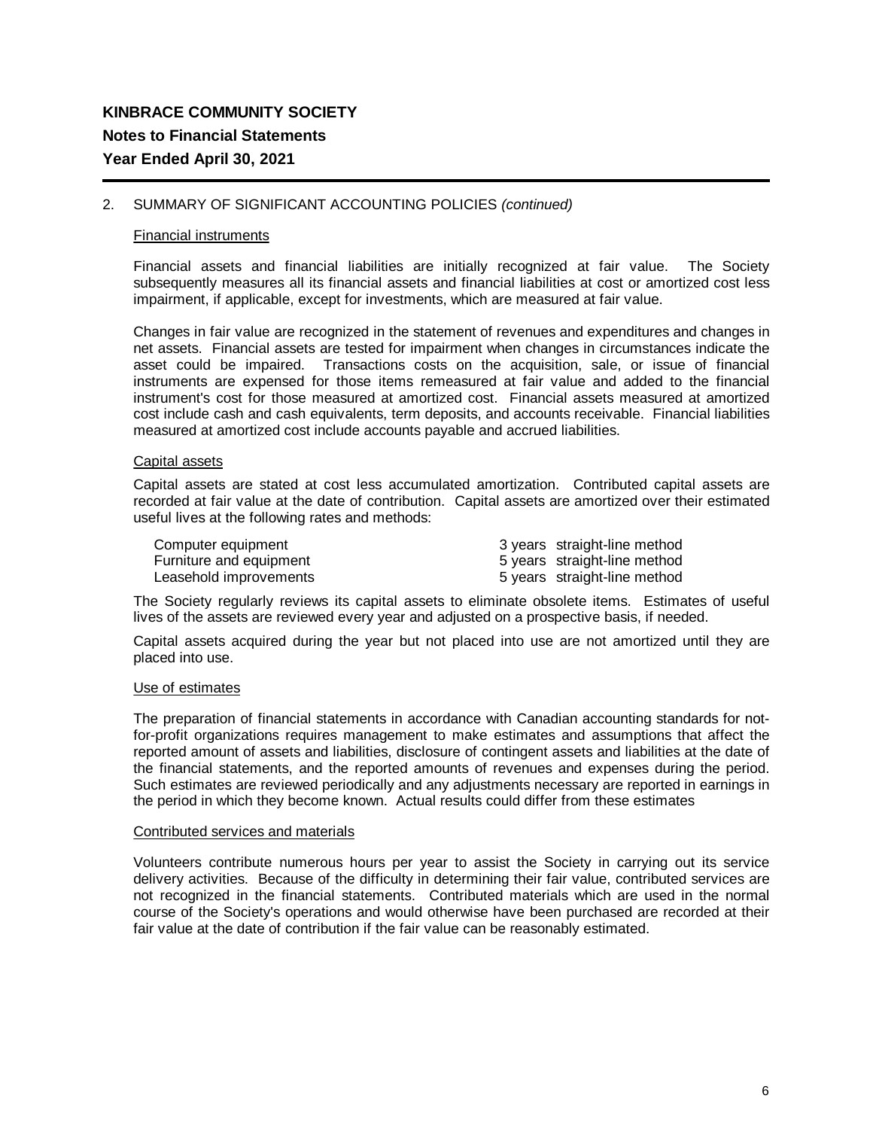### 2. SUMMARY OF SIGNIFICANT ACCOUNTING POLICIES *(continued)*

### Financial instruments

Financial assets and financial liabilities are initially recognized at fair value. The Society subsequently measures all its financial assets and financial liabilities at cost or amortized cost less impairment, if applicable, except for investments, which are measured at fair value.

Changes in fair value are recognized in the statement of revenues and expenditures and changes in net assets. Financial assets are tested for impairment when changes in circumstances indicate the asset could be impaired. Transactions costs on the acquisition, sale, or issue of financial instruments are expensed for those items remeasured at fair value and added to the financial instrument's cost for those measured at amortized cost. Financial assets measured at amortized cost include cash and cash equivalents, term deposits, and accounts receivable. Financial liabilities measured at amortized cost include accounts payable and accrued liabilities.

### Capital assets

Capital assets are stated at cost less accumulated amortization. Contributed capital assets are recorded at fair value at the date of contribution. Capital assets are amortized over their estimated useful lives at the following rates and methods:

| Computer equipment      | 3 years straight-line method |
|-------------------------|------------------------------|
| Furniture and equipment | 5 years straight-line method |
| Leasehold improvements  | 5 years straight-line method |

The Society regularly reviews its capital assets to eliminate obsolete items. Estimates of useful lives of the assets are reviewed every year and adjusted on a prospective basis, if needed.

Capital assets acquired during the year but not placed into use are not amortized until they are placed into use.

### Use of estimates

The preparation of financial statements in accordance with Canadian accounting standards for notfor-profit organizations requires management to make estimates and assumptions that affect the reported amount of assets and liabilities, disclosure of contingent assets and liabilities at the date of the financial statements, and the reported amounts of revenues and expenses during the period. Such estimates are reviewed periodically and any adjustments necessary are reported in earnings in the period in which they become known. Actual results could differ from these estimates

### Contributed services and materials

Volunteers contribute numerous hours per year to assist the Society in carrying out its service delivery activities. Because of the difficulty in determining their fair value, contributed services are not recognized in the financial statements. Contributed materials which are used in the normal course of the Society's operations and would otherwise have been purchased are recorded at their fair value at the date of contribution if the fair value can be reasonably estimated.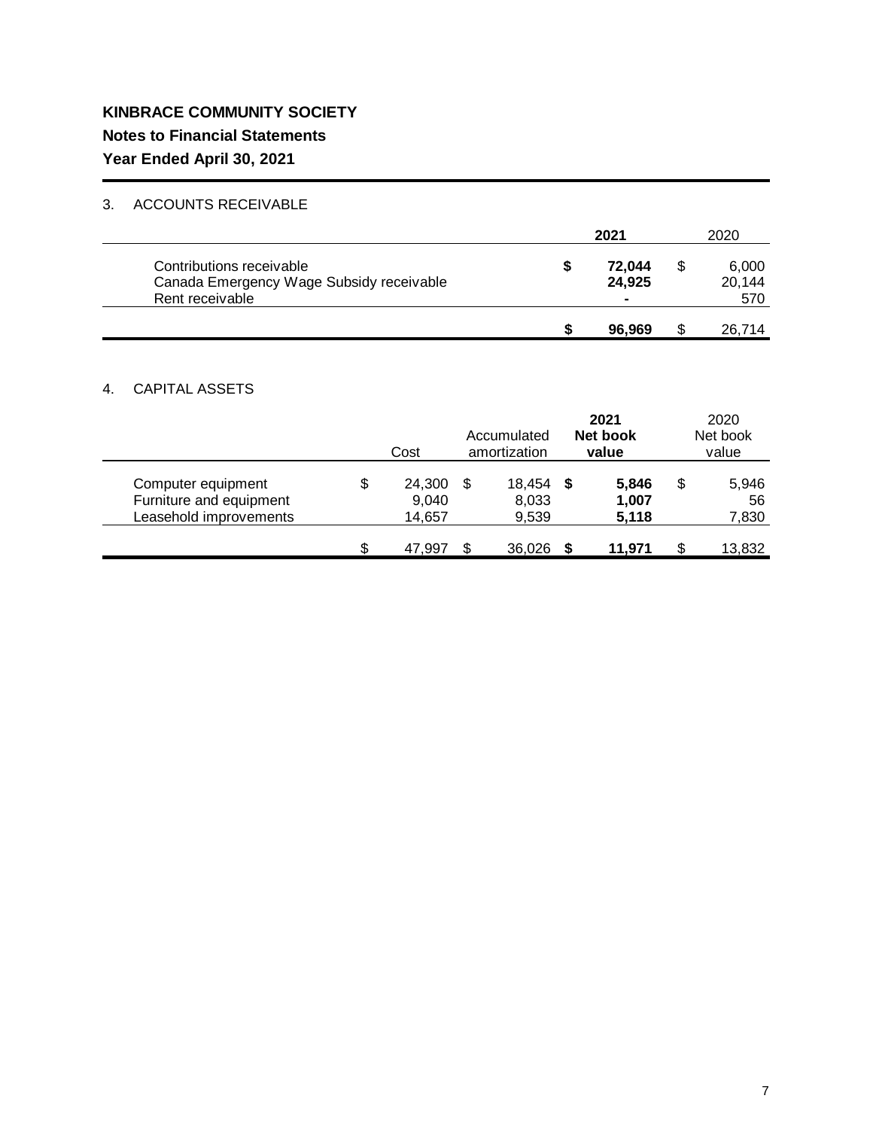## 3. ACCOUNTS RECEIVABLE

|                                                                                         | 2021 |                                    |  | 2020                   |
|-----------------------------------------------------------------------------------------|------|------------------------------------|--|------------------------|
| Contributions receivable<br>Canada Emergency Wage Subsidy receivable<br>Rent receivable | ъ    | 72.044<br>24,925<br>$\blacksquare$ |  | 6,000<br>20.144<br>570 |
|                                                                                         |      | 96.969                             |  | 26,714                 |

## 4. CAPITAL ASSETS

|                                                                         | Cost                            | Accumulated<br>amortization |                          |     | 2021<br>Net book<br>value |    | 2020<br>Net book<br>value |
|-------------------------------------------------------------------------|---------------------------------|-----------------------------|--------------------------|-----|---------------------------|----|---------------------------|
| Computer equipment<br>Furniture and equipment<br>Leasehold improvements | \$<br>24,300<br>9,040<br>14,657 |                             | 18,454<br>8,033<br>9,539 | - S | 5,846<br>1,007<br>5,118   | \$ | 5,946<br>56<br>7,830      |
|                                                                         | \$<br>47.997                    |                             | 36,026                   |     | 11.971                    |    | 13,832                    |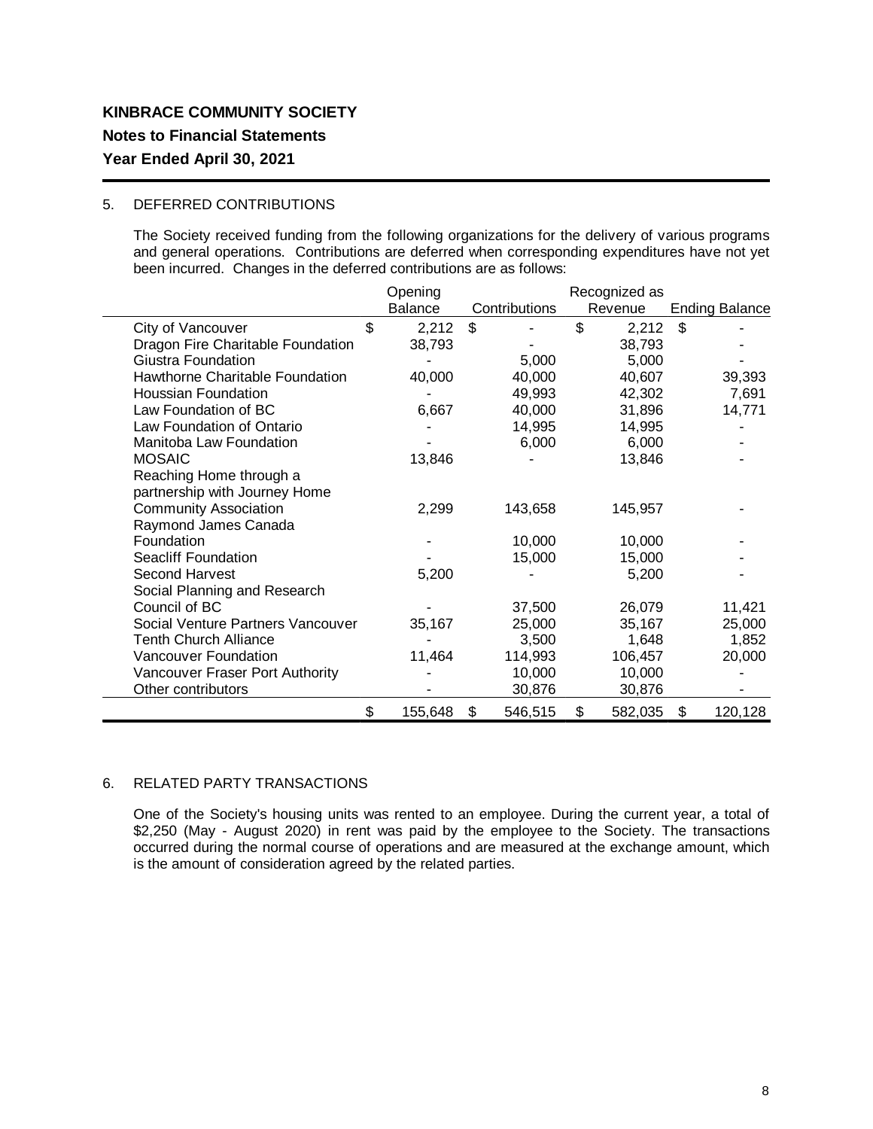### 5. DEFERRED CONTRIBUTIONS

The Society received funding from the following organizations for the delivery of various programs and general operations. Contributions are deferred when corresponding expenditures have not yet been incurred. Changes in the deferred contributions are as follows:

|                                   | Opening        |               | Recognized as |                           |
|-----------------------------------|----------------|---------------|---------------|---------------------------|
|                                   | <b>Balance</b> | Contributions | Revenue       | <b>Ending Balance</b>     |
| City of Vancouver                 | \$<br>2,212    | \$            | \$<br>2,212   | $\boldsymbol{\mathsf{S}}$ |
| Dragon Fire Charitable Foundation | 38,793         |               | 38,793        |                           |
| Giustra Foundation                |                | 5,000         | 5,000         |                           |
| Hawthorne Charitable Foundation   | 40,000         | 40,000        | 40,607        | 39,393                    |
| <b>Houssian Foundation</b>        |                | 49,993        | 42,302        | 7,691                     |
| Law Foundation of BC              | 6,667          | 40,000        | 31,896        | 14,771                    |
| Law Foundation of Ontario         |                | 14,995        | 14,995        |                           |
| Manitoba Law Foundation           |                | 6,000         | 6,000         |                           |
| <b>MOSAIC</b>                     | 13,846         |               | 13,846        |                           |
| Reaching Home through a           |                |               |               |                           |
| partnership with Journey Home     |                |               |               |                           |
| <b>Community Association</b>      | 2,299          | 143,658       | 145,957       |                           |
| Raymond James Canada              |                |               |               |                           |
| Foundation                        |                | 10,000        | 10,000        |                           |
| <b>Seacliff Foundation</b>        |                | 15,000        | 15,000        |                           |
| Second Harvest                    | 5,200          |               | 5,200         |                           |
| Social Planning and Research      |                |               |               |                           |
| Council of BC                     |                | 37,500        | 26,079        | 11,421                    |
| Social Venture Partners Vancouver | 35,167         | 25,000        | 35,167        | 25,000                    |
| <b>Tenth Church Alliance</b>      |                | 3,500         | 1,648         | 1,852                     |
| Vancouver Foundation              | 11,464         | 114,993       | 106,457       | 20,000                    |
| Vancouver Fraser Port Authority   |                | 10,000        | 10,000        |                           |
| Other contributors                |                | 30,876        | 30,876        |                           |
|                                   | \$<br>155,648  | \$<br>546,515 | \$<br>582,035 | \$<br>120,128             |

### 6. RELATED PARTY TRANSACTIONS

One of the Society's housing units was rented to an employee. During the current year, a total of \$2,250 (May - August 2020) in rent was paid by the employee to the Society. The transactions occurred during the normal course of operations and are measured at the exchange amount, which is the amount of consideration agreed by the related parties.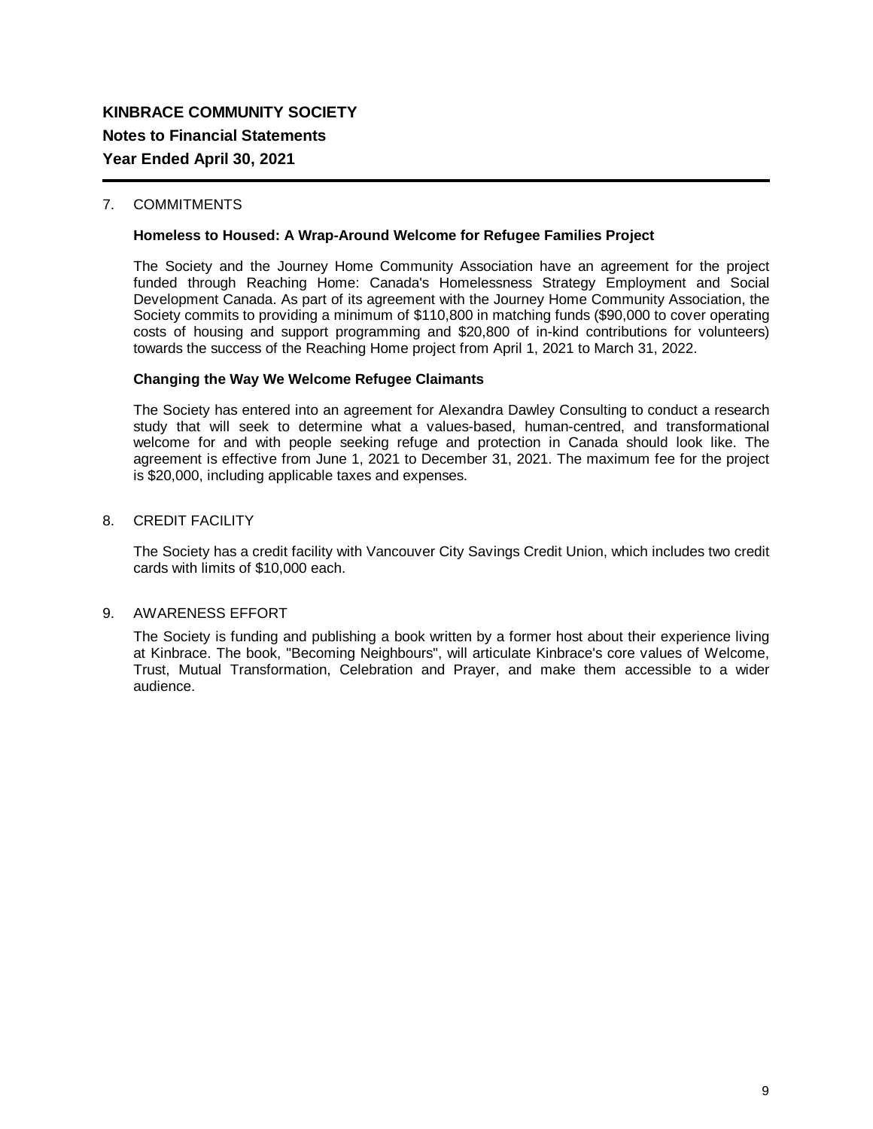### 7. COMMITMENTS

### **Homeless to Housed: A Wrap-Around Welcome for Refugee Families Project**

The Society and the Journey Home Community Association have an agreement for the project funded through Reaching Home: Canada's Homelessness Strategy Employment and Social Development Canada. As part of its agreement with the Journey Home Community Association, the Society commits to providing a minimum of \$110,800 in matching funds (\$90,000 to cover operating costs of housing and support programming and \$20,800 of in-kind contributions for volunteers) towards the success of the Reaching Home project from April 1, 2021 to March 31, 2022.

### **Changing the Way We Welcome Refugee Claimants**

The Society has entered into an agreement for Alexandra Dawley Consulting to conduct a research study that will seek to determine what a values-based, human-centred, and transformational welcome for and with people seeking refuge and protection in Canada should look like. The agreement is effective from June 1, 2021 to December 31, 2021. The maximum fee for the project is \$20,000, including applicable taxes and expenses.

### 8. CREDIT FACILITY

The Society has a credit facility with Vancouver City Savings Credit Union, which includes two credit cards with limits of \$10,000 each.

### 9. AWARENESS EFFORT

The Society is funding and publishing a book written by a former host about their experience living at Kinbrace. The book, "Becoming Neighbours", will articulate Kinbrace's core values of Welcome, Trust, Mutual Transformation, Celebration and Prayer, and make them accessible to a wider audience.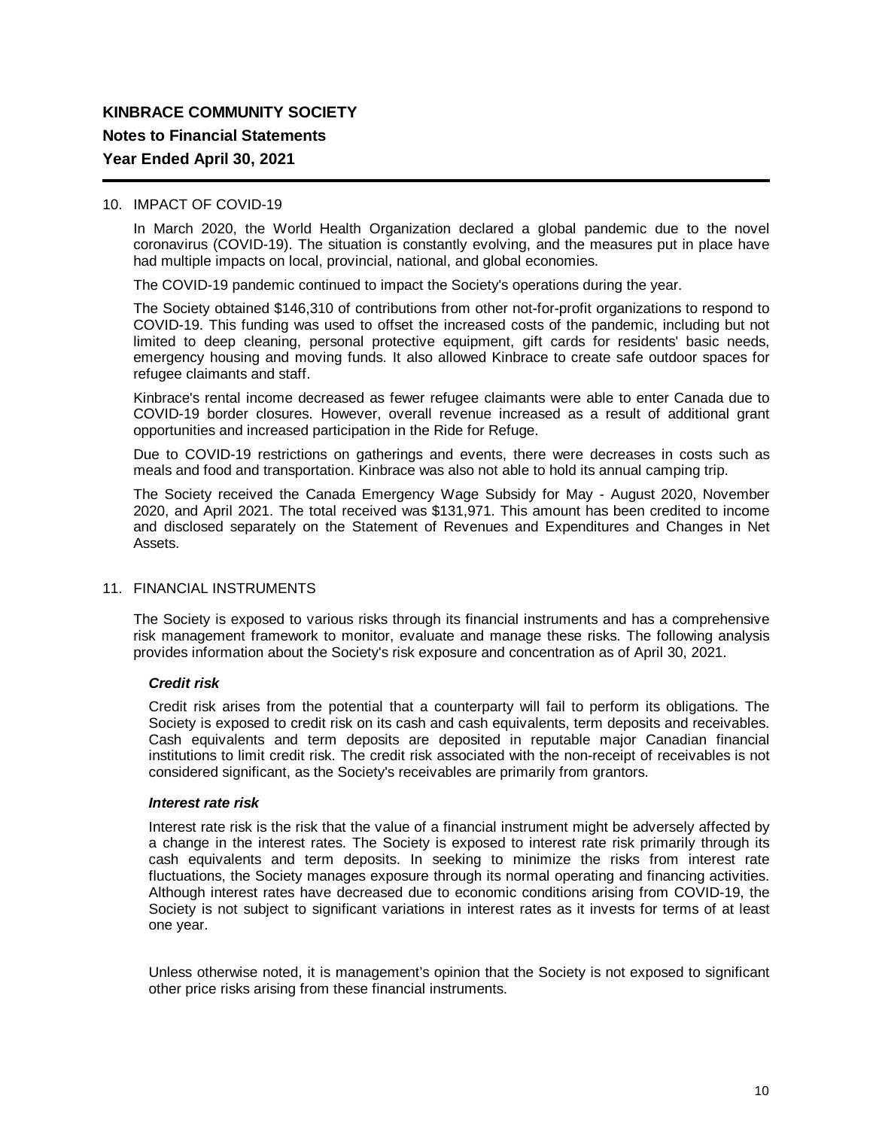### 10. IMPACT OF COVID-19

In March 2020, the World Health Organization declared a global pandemic due to the novel coronavirus (COVID-19). The situation is constantly evolving, and the measures put in place have had multiple impacts on local, provincial, national, and global economies.

The COVID-19 pandemic continued to impact the Society's operations during the year.

The Society obtained \$146,310 of contributions from other not-for-profit organizations to respond to COVID-19. This funding was used to offset the increased costs of the pandemic, including but not limited to deep cleaning, personal protective equipment, gift cards for residents' basic needs, emergency housing and moving funds. It also allowed Kinbrace to create safe outdoor spaces for refugee claimants and staff.

Kinbrace's rental income decreased as fewer refugee claimants were able to enter Canada due to COVID-19 border closures. However, overall revenue increased as a result of additional grant opportunities and increased participation in the Ride for Refuge.

Due to COVID-19 restrictions on gatherings and events, there were decreases in costs such as meals and food and transportation. Kinbrace was also not able to hold its annual camping trip.

The Society received the Canada Emergency Wage Subsidy for May - August 2020, November 2020, and April 2021. The total received was \$131,971. This amount has been credited to income and disclosed separately on the Statement of Revenues and Expenditures and Changes in Net Assets.

### 11. FINANCIAL INSTRUMENTS

The Society is exposed to various risks through its financial instruments and has a comprehensive risk management framework to monitor, evaluate and manage these risks. The following analysis provides information about the Society's risk exposure and concentration as of April 30, 2021.

### *Credit risk*

Credit risk arises from the potential that a counterparty will fail to perform its obligations. The Society is exposed to credit risk on its cash and cash equivalents, term deposits and receivables. Cash equivalents and term deposits are deposited in reputable major Canadian financial institutions to limit credit risk. The credit risk associated with the non-receipt of receivables is not considered significant, as the Society's receivables are primarily from grantors.

### *Interest rate risk*

Interest rate risk is the risk that the value of a financial instrument might be adversely affected by a change in the interest rates. The Society is exposed to interest rate risk primarily through its cash equivalents and term deposits. In seeking to minimize the risks from interest rate fluctuations, the Society manages exposure through its normal operating and financing activities. Although interest rates have decreased due to economic conditions arising from COVID-19, the Society is not subject to significant variations in interest rates as it invests for terms of at least one year.

Unless otherwise noted, it is management's opinion that the Society is not exposed to significant other price risks arising from these financial instruments.